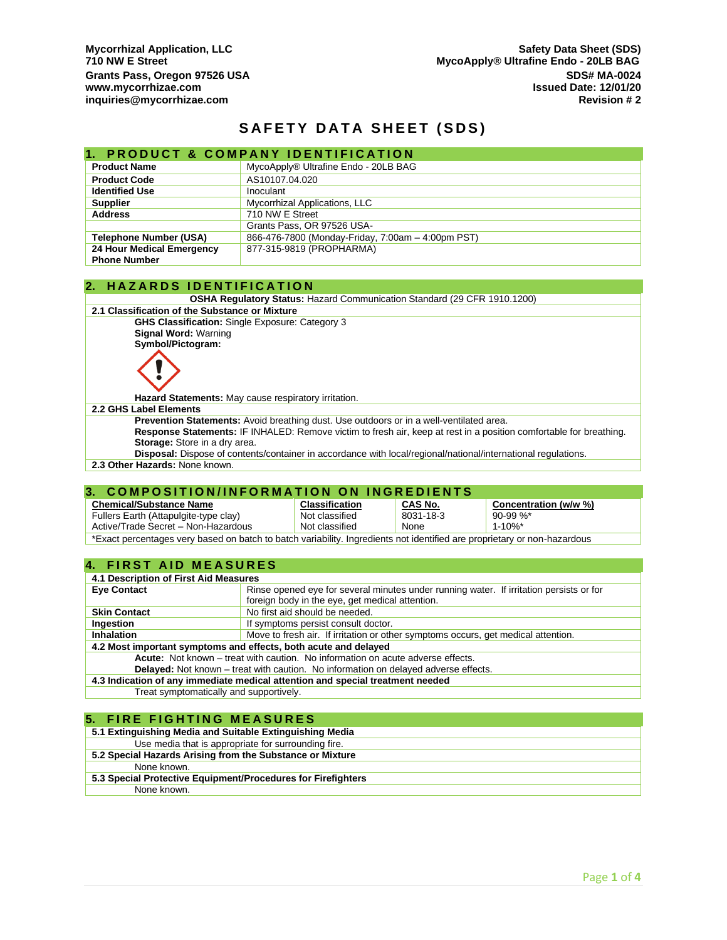# **SAFETY DATA SHEET (SDS)**

## **1. PRODUCT & COMPANY IDENTIFICATION**

| <b>Product Name</b>           | MycoApply® Ultrafine Endo - 20LB BAG              |
|-------------------------------|---------------------------------------------------|
| <b>Product Code</b>           | AS10107.04.020                                    |
| <b>Identified Use</b>         | Inoculant                                         |
| <b>Supplier</b>               | Mycorrhizal Applications, LLC                     |
| <b>Address</b>                | 710 NW E Street                                   |
|                               | Grants Pass, OR 97526 USA-                        |
| <b>Telephone Number (USA)</b> | 866-476-7800 (Monday-Friday, 7:00am - 4:00pm PST) |
| 24 Hour Medical Emergency     | 877-315-9819 (PROPHARMA)                          |
| <b>Phone Number</b>           |                                                   |

#### **2. H A Z A R D S I D E N T I F I C A T I O N**

**OSHA Regulatory Status:** Hazard Communication Standard (29 CFR 1910.1200)

#### **2.1 Classification of the Substance or Mixture**

**GHS Classification:** Single Exposure: Category 3 **Signal Word:** Warning

**Symbol/Pictogram:**



**Hazard Statements:** May cause respiratory irritation.

#### **2.2 GHS Label Elements**

**Prevention Statements:** Avoid breathing dust. Use outdoors or in a well-ventilated area. **Response Statements:** IF INHALED: Remove victim to fresh air, keep at rest in a position comfortable for breathing. **Storage:** Store in a dry area.

**Disposal:** Dispose of contents/container in accordance with local/regional/national/international regulations.

**2.3 Other Hazards:** None known.

## **3. COMPOSITION/INFORMATION ON INGREDIENTS**

| <b>Chemical/Substance Name</b>                                                                                           | <b>Classification</b> | CAS No.   | Concentration (w/w %)   |
|--------------------------------------------------------------------------------------------------------------------------|-----------------------|-----------|-------------------------|
| Fullers Earth (Attapulgite-type clay)                                                                                    | Not classified        | 8031-18-3 | $90-99 \%$              |
| Active/Trade Secret - Non-Hazardous                                                                                      | Not classified        | None      | $1 - 10\%$ <sup>*</sup> |
| *Exact percentages very based on batch to batch variability. Ingredients not identified are proprietary or non-hazardous |                       |           |                         |

## **4. FIRST AID MEASURES**

| 4.1 Description of First Aid Measures                                                      |                                                                                         |  |
|--------------------------------------------------------------------------------------------|-----------------------------------------------------------------------------------------|--|
| <b>Eye Contact</b>                                                                         | Rinse opened eye for several minutes under running water. If irritation persists or for |  |
|                                                                                            | foreign body in the eye, get medical attention.                                         |  |
| <b>Skin Contact</b>                                                                        | No first aid should be needed.                                                          |  |
| Ingestion                                                                                  | If symptoms persist consult doctor.                                                     |  |
| <b>Inhalation</b>                                                                          | Move to fresh air. If irritation or other symptoms occurs, get medical attention.       |  |
| 4.2 Most important symptoms and effects, both acute and delayed                            |                                                                                         |  |
| Acute: Not known – treat with caution. No information on acute adverse effects.            |                                                                                         |  |
| <b>Delayed:</b> Not known – treat with caution. No information on delayed adverse effects. |                                                                                         |  |
| 4.3 Indication of any immediate medical attention and special treatment needed             |                                                                                         |  |
| Treat symptomatically and supportively.                                                    |                                                                                         |  |

## **5. FIRE FIGHTING MEASURES**

| 5.1 Extinguishing Media and Suitable Extinguishing Media     |
|--------------------------------------------------------------|
| Use media that is appropriate for surrounding fire.          |
| 5.2 Special Hazards Arising from the Substance or Mixture    |
| None known.                                                  |
| 5.3 Special Protective Equipment/Procedures for Firefighters |
| None known.                                                  |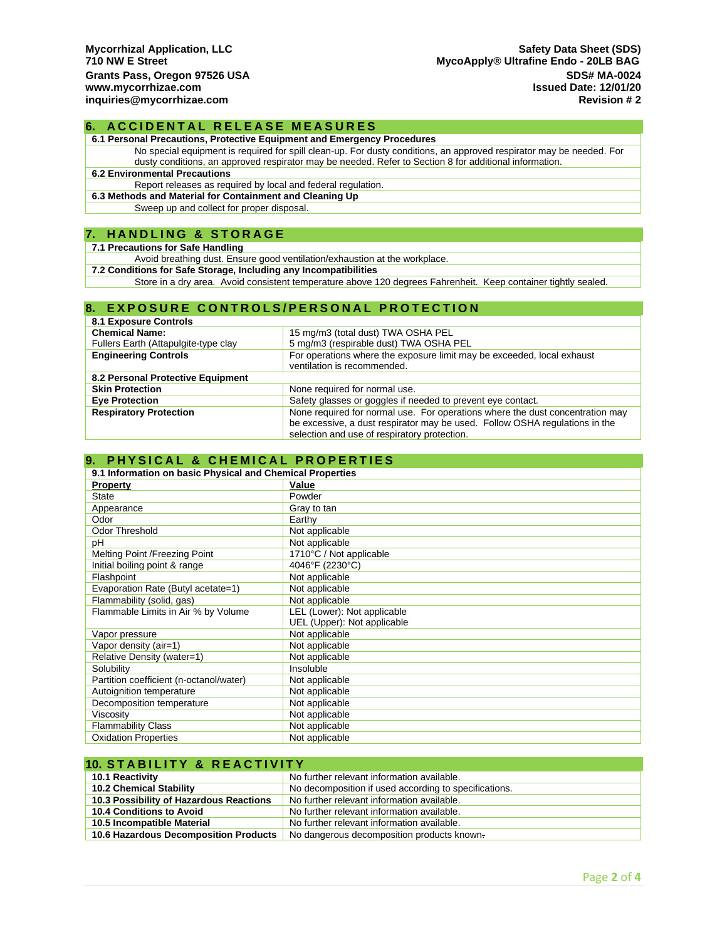#### **6. ACCIDENTAL RELEASE MEASURES**

**6.1 Personal Precautions, Protective Equipment and Emergency Procedures**

No special equipment is required for spill clean-up. For dusty conditions, an approved respirator may be needed. For dusty conditions, an approved respirator may be needed. Refer to Section 8 for additional information.

## **6.2 Environmental Precautions**

Report releases as required by local and federal regulation.

**6.3 Methods and Material for Containment and Cleaning Up**

Sweep up and collect for proper disposal.

#### **7. H A N D L I N G & S T O R A G E**

#### **7.1 Precautions for Safe Handling**

Avoid breathing dust. Ensure good ventilation/exhaustion at the workplace.

**7.2 Conditions for Safe Storage, Including any Incompatibilities**

Store in a dry area. Avoid consistent temperature above 120 degrees Fahrenheit. Keep container tightly sealed.

## **8. EXPOSURE CONTROLS/PERSONAL PROTECTION**

| <b>8.1 Exposure Controls</b>         |                                                                               |
|--------------------------------------|-------------------------------------------------------------------------------|
| <b>Chemical Name:</b>                | 15 mg/m3 (total dust) TWA OSHA PEL                                            |
| Fullers Earth (Attapulgite-type clay | 5 mg/m3 (respirable dust) TWA OSHA PEL                                        |
| <b>Engineering Controls</b>          | For operations where the exposure limit may be exceeded, local exhaust        |
|                                      | ventilation is recommended.                                                   |
| 8.2 Personal Protective Equipment    |                                                                               |
| <b>Skin Protection</b>               | None required for normal use.                                                 |
| <b>Eye Protection</b>                | Safety glasses or goggles if needed to prevent eye contact.                   |
| <b>Respiratory Protection</b>        | None required for normal use. For operations where the dust concentration may |
|                                      | be excessive, a dust respirator may be used. Follow OSHA regulations in the   |
|                                      | selection and use of respiratory protection.                                  |

# **9. PHYSICAL & CHEMICAL PROPERTIES**

| 9.1 Information on basic Physical and Chemical Properties |                             |  |
|-----------------------------------------------------------|-----------------------------|--|
| <b>Property</b>                                           | Value                       |  |
| <b>State</b>                                              | Powder                      |  |
| Appearance                                                | Gray to tan                 |  |
| Odor                                                      | Earthy                      |  |
| Odor Threshold                                            | Not applicable              |  |
| рH                                                        | Not applicable              |  |
| Melting Point /Freezing Point                             | 1710°C / Not applicable     |  |
| Initial boiling point & range                             | 4046°F (2230°C)             |  |
| Flashpoint                                                | Not applicable              |  |
| Evaporation Rate (Butyl acetate=1)                        | Not applicable              |  |
| Flammability (solid, gas)                                 | Not applicable              |  |
| Flammable Limits in Air % by Volume                       | LEL (Lower): Not applicable |  |
|                                                           | UEL (Upper): Not applicable |  |
| Vapor pressure                                            | Not applicable              |  |
| Vapor density (air=1)                                     | Not applicable              |  |
| Relative Density (water=1)                                | Not applicable              |  |
| Solubility                                                | Insoluble                   |  |
| Partition coefficient (n-octanol/water)                   | Not applicable              |  |
| Autoignition temperature                                  | Not applicable              |  |
| Decomposition temperature                                 | Not applicable              |  |
| Viscosity                                                 | Not applicable              |  |
| <b>Flammability Class</b>                                 | Not applicable              |  |
| <b>Oxidation Properties</b>                               | Not applicable              |  |

| <b>10. STABILITY &amp; REACTIVITY</b>   |                                                       |  |
|-----------------------------------------|-------------------------------------------------------|--|
| 10.1 Reactivity                         | No further relevant information available.            |  |
| <b>10.2 Chemical Stability</b>          | No decomposition if used according to specifications. |  |
| 10.3 Possibility of Hazardous Reactions | No further relevant information available.            |  |
| 10.4 Conditions to Avoid                | No further relevant information available.            |  |
| 10.5 Incompatible Material              | No further relevant information available.            |  |
| 10.6 Hazardous Decomposition Products   | No dangerous decomposition products known.            |  |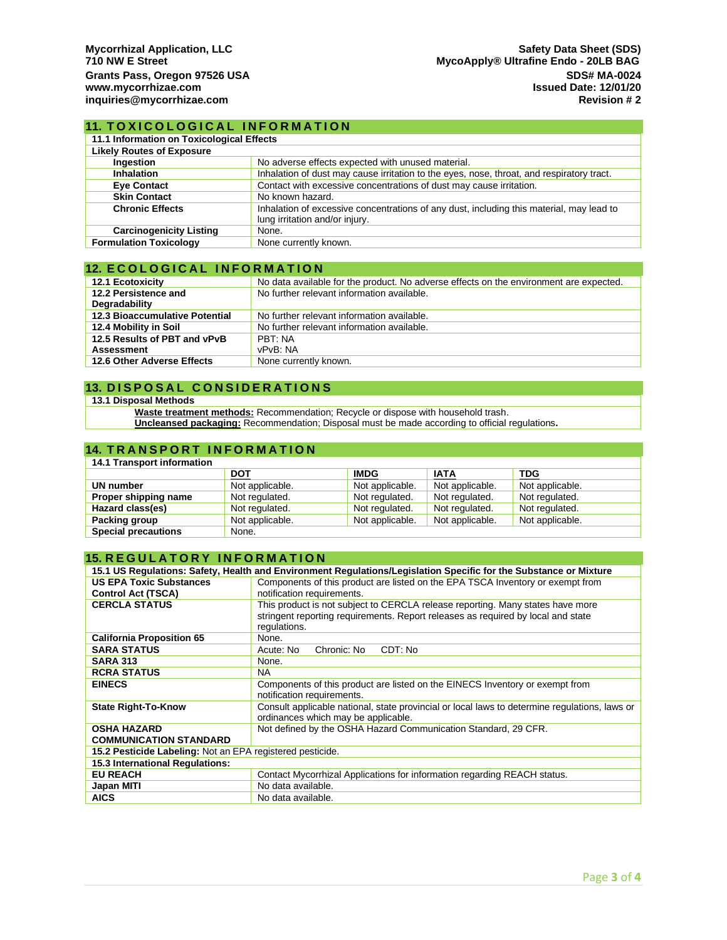## **11. TOXICOLOGICAL INFORMATION**

| 11.1 Information on Toxicological Effects |                                                                                                                            |  |
|-------------------------------------------|----------------------------------------------------------------------------------------------------------------------------|--|
| <b>Likely Routes of Exposure</b>          |                                                                                                                            |  |
| Ingestion                                 | No adverse effects expected with unused material.                                                                          |  |
| <b>Inhalation</b>                         | Inhalation of dust may cause irritation to the eyes, nose, throat, and respiratory tract.                                  |  |
| <b>Eye Contact</b>                        | Contact with excessive concentrations of dust may cause irritation.                                                        |  |
| <b>Skin Contact</b>                       | No known hazard.                                                                                                           |  |
| <b>Chronic Effects</b>                    | Inhalation of excessive concentrations of any dust, including this material, may lead to<br>lung irritation and/or injury. |  |
| <b>Carcinogenicity Listing</b>            | None.                                                                                                                      |  |
| <b>Formulation Toxicology</b>             | None currently known.                                                                                                      |  |

## **12. ECOLOGICAL INFORMATION**

| <b>12.1 Ecotoxicity</b>               | No data available for the product. No adverse effects on the environment are expected. |  |  |
|---------------------------------------|----------------------------------------------------------------------------------------|--|--|
| 12.2 Persistence and                  | No further relevant information available.                                             |  |  |
| Degradability                         |                                                                                        |  |  |
| <b>12.3 Bioaccumulative Potential</b> | No further relevant information available.                                             |  |  |
| 12.4 Mobility in Soil                 | No further relevant information available.                                             |  |  |
| 12.5 Results of PBT and vPvB          | PBT: NA                                                                                |  |  |
| <b>Assessment</b>                     | vPvB: NA                                                                               |  |  |
| 12.6 Other Adverse Effects            | None currently known.                                                                  |  |  |

## **13. DISPOSAL CONSIDERATIONS**

#### **13.1 Disposal Methods**

**Waste treatment methods:** Recommendation; Recycle or dispose with household trash.

**Uncleansed packaging:** Recommendation; Disposal must be made according to official regulations**.**

## **14. TRANSPORT INFORMATION**

| 14.1 Transport information |                 |                 |                 |                 |
|----------------------------|-----------------|-----------------|-----------------|-----------------|
|                            | <b>DOT</b>      | <b>IMDG</b>     | <b>IATA</b>     | <b>TDG</b>      |
| UN number                  | Not applicable. | Not applicable. | Not applicable. | Not applicable. |
| Proper shipping name       | Not regulated.  | Not regulated.  | Not regulated.  | Not regulated.  |
| Hazard class(es)           | Not regulated.  | Not regulated.  | Not regulated.  | Not regulated.  |
| Packing group              | Not applicable. | Not applicable. | Not applicable. | Not applicable. |
| <b>Special precautions</b> | None.           |                 |                 |                 |

# **15. REGULATORY INFORMATION**

| 15.1 US Regulations: Safety, Health and Environment Regulations/Legislation Specific for the Substance or Mixture |                                                                                                                                                                                    |  |  |
|-------------------------------------------------------------------------------------------------------------------|------------------------------------------------------------------------------------------------------------------------------------------------------------------------------------|--|--|
| <b>US EPA Toxic Substances</b>                                                                                    | Components of this product are listed on the EPA TSCA Inventory or exempt from                                                                                                     |  |  |
| <b>Control Act (TSCA)</b>                                                                                         | notification requirements.                                                                                                                                                         |  |  |
| <b>CERCLA STATUS</b>                                                                                              | This product is not subject to CERCLA release reporting. Many states have more<br>stringent reporting requirements. Report releases as required by local and state<br>regulations. |  |  |
| <b>California Proposition 65</b>                                                                                  | None.                                                                                                                                                                              |  |  |
| <b>SARA STATUS</b>                                                                                                | Chronic: No<br>CDT: No<br>Acute: No                                                                                                                                                |  |  |
| <b>SARA 313</b>                                                                                                   | None.                                                                                                                                                                              |  |  |
| <b>RCRA STATUS</b>                                                                                                | <b>NA</b>                                                                                                                                                                          |  |  |
| <b>EINECS</b>                                                                                                     | Components of this product are listed on the EINECS Inventory or exempt from<br>notification requirements.                                                                         |  |  |
| <b>State Right-To-Know</b>                                                                                        | Consult applicable national, state provincial or local laws to determine regulations, laws or<br>ordinances which may be applicable.                                               |  |  |
| <b>OSHA HAZARD</b>                                                                                                | Not defined by the OSHA Hazard Communication Standard, 29 CFR.                                                                                                                     |  |  |
| <b>COMMUNICATION STANDARD</b>                                                                                     |                                                                                                                                                                                    |  |  |
| 15.2 Pesticide Labeling: Not an EPA registered pesticide.                                                         |                                                                                                                                                                                    |  |  |
| 15.3 International Regulations:                                                                                   |                                                                                                                                                                                    |  |  |
| <b>EU REACH</b>                                                                                                   | Contact Mycorrhizal Applications for information regarding REACH status.                                                                                                           |  |  |
| Japan MITI                                                                                                        | No data available.                                                                                                                                                                 |  |  |
| <b>AICS</b>                                                                                                       | No data available.                                                                                                                                                                 |  |  |